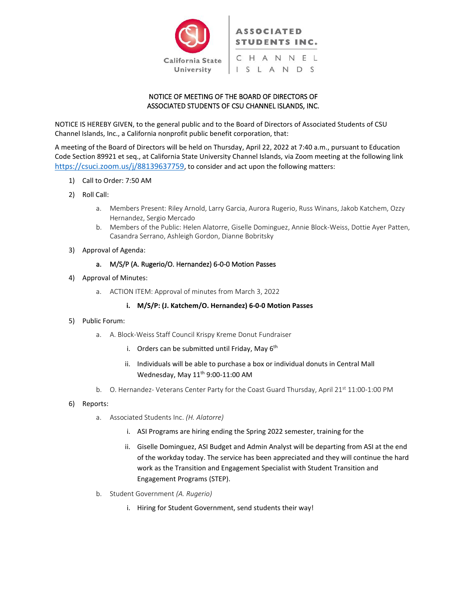

# NOTICE OF MEETING OF THE BOARD OF DIRECTORS OF ASSOCIATED STUDENTS OF CSU CHANNEL ISLANDS, INC.

NOTICE IS HEREBY GIVEN, to the general public and to the Board of Directors of Associated Students of CSU Channel Islands, Inc., a California nonprofit public benefit corporation, that:

A meeting of the Board of Directors will be held on Thursday, April 22, 2022 at 7:40 a.m., pursuant to Education Code Section 89921 et seq., at California State University Channel Islands, via Zoom meeting at the following link <https://csuci.zoom.us/j/88139637759>, to consider and act upon the following matters:

- 1) Call to Order: 7:50 AM
- 2) Roll Call:
	- a. Members Present: Riley Arnold, Larry Garcia, Aurora Rugerio, Russ Winans, Jakob Katchem, Ozzy Hernandez, Sergio Mercado
	- b. Members of the Public: Helen Alatorre, Giselle Dominguez, Annie Block-Weiss, Dottie Ayer Patten, Casandra Serrano, Ashleigh Gordon, Dianne Bobritsky
- 3) Approval of Agenda:

## a. M/S/P (A. Rugerio/O. Hernandez) 6-0-0 Motion Passes

- 4) Approval of Minutes:
	- a. ACTION ITEM: Approval of minutes from March 3, 2022

# **i. M/S/P: (J. Katchem/O. Hernandez) 6-0-0 Motion Passes**

- 5) Public Forum:
	- a. A. Block-Weiss Staff Council Krispy Kreme Donut Fundraiser
		- i. Orders can be submitted until Friday, May 6<sup>th</sup>
		- ii. Individuals will be able to purchase a box or individual donuts in Central Mall Wednesday, May 11<sup>th</sup> 9:00-11:00 AM
	- b. O. Hernandez- Veterans Center Party for the Coast Guard Thursday, April 21<sup>st</sup> 11:00-1:00 PM
- 6) Reports:
	- a. Associated Students Inc. *(H. Alatorre)*
		- i. ASI Programs are hiring ending the Spring 2022 semester, training for the
		- ii. Giselle Dominguez, ASI Budget and Admin Analyst will be departing from ASI at the end of the workday today. The service has been appreciated and they will continue the hard work as the Transition and Engagement Specialist with Student Transition and Engagement Programs (STEP).
	- b. Student Government *(A. Rugerio)*
		- i. Hiring for Student Government, send students their way!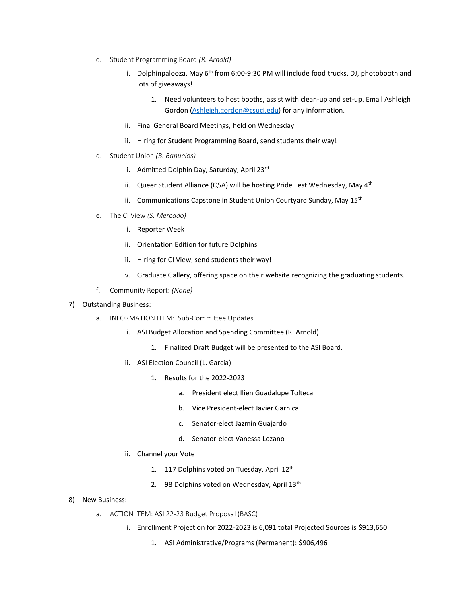- c. Student Programming Board *(R. Arnold)*
	- i. Dolphinpalooza, May  $6<sup>th</sup>$  from 6:00-9:30 PM will include food trucks, DJ, photobooth and lots of giveaways!
		- 1. Need volunteers to host booths, assist with clean-up and set-up. Email Ashleigh Gordon [\(Ashleigh.gordon@csuci.edu\)](mailto:Ashleigh.gordon@csuci.edu) for any information.
	- ii. Final General Board Meetings, held on Wednesday
	- iii. Hiring for Student Programming Board, send students their way!
- d. Student Union *(B. Banuelos)*
	- i. Admitted Dolphin Day, Saturday, April 23rd
	- ii. Queer Student Alliance (QSA) will be hosting Pride Fest Wednesday, May 4<sup>th</sup>
	- iii. Communications Capstone in Student Union Courtyard Sunday, May 15<sup>th</sup>
- e. The CI View *(S. Mercado)*
	- i. Reporter Week
	- ii. Orientation Edition for future Dolphins
	- iii. Hiring for CI View, send students their way!
	- iv. Graduate Gallery, offering space on their website recognizing the graduating students.
- f. Community Report: *(None)*

#### 7) Outstanding Business:

- a. INFORMATION ITEM: Sub-Committee Updates
	- i. ASI Budget Allocation and Spending Committee (R. Arnold)
		- 1. Finalized Draft Budget will be presented to the ASI Board.
	- ii. ASI Election Council (L. Garcia)
		- 1. Results for the 2022-2023
			- a. President elect Ilien Guadalupe Tolteca
			- b. Vice President-elect Javier Garnica
			- c. Senator-elect Jazmin Guajardo
			- d. Senator-elect Vanessa Lozano
	- iii. Channel your Vote
		- 1. 117 Dolphins voted on Tuesday, April 12<sup>th</sup>
		- 2. 98 Dolphins voted on Wednesday, April 13<sup>th</sup>

#### 8) New Business:

- a. ACTION ITEM: ASI 22-23 Budget Proposal (BASC)
	- i. Enrollment Projection for 2022-2023 is 6,091 total Projected Sources is \$913,650
		- 1. ASI Administrative/Programs (Permanent): \$906,496